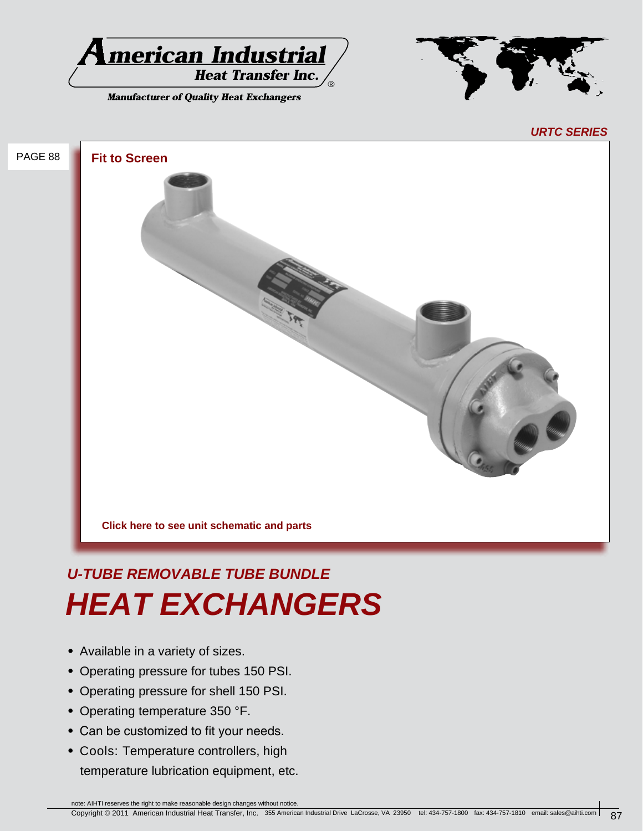

**Manufacturer of Quality Heat Exchangers** 



*URTC SERIES*

# PAGE 88 **Fit to Screen Click here to see unit schematic and parts**

# *U-TUBE REMOVABLE TUBE BUNDLE HEAT EXCHANGERS*

- **•** Available in a variety of sizes.
- **•** Operating pressure for tubes 150 PSI.
- **•** Operating pressure for shell 150 PSI.
- **•** Operating temperature 350 °F.
- **•** Can be customized to fit your needs.
- **•** Cools: Temperature controllers, high temperature lubrication equipment, etc.

note: AIHTI reserves the right to make reasonable design changes without notice.

Copyright © 2011 American Industrial Heat Transfer, Inc. 355 American Industrial Drive LaCrosse, VA 23950 tel: 434-757-1800 fax: 434-757-1810 email: sales@aihti.com 87